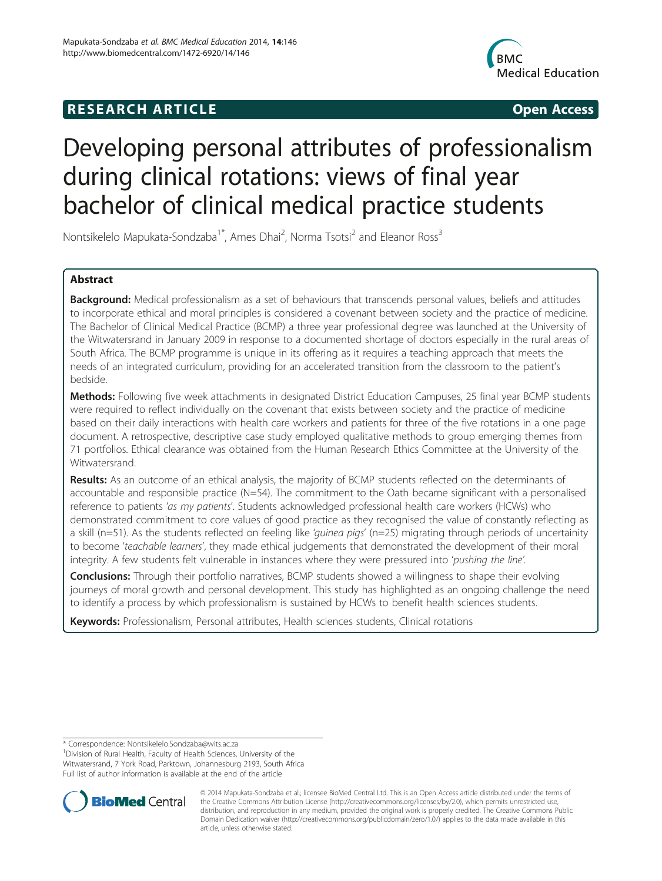# **RESEARCH ARTICLE Example 2018 12:00 Open Access**



# Developing personal attributes of professionalism during clinical rotations: views of final year bachelor of clinical medical practice students

Nontsikelelo Mapukata-Sondzaba<sup>1\*</sup>, Ames Dhai<sup>2</sup>, Norma Tsotsi<sup>2</sup> and Eleanor Ross<sup>3</sup>

# Abstract

Background: Medical professionalism as a set of behaviours that transcends personal values, beliefs and attitudes to incorporate ethical and moral principles is considered a covenant between society and the practice of medicine. The Bachelor of Clinical Medical Practice (BCMP) a three year professional degree was launched at the University of the Witwatersrand in January 2009 in response to a documented shortage of doctors especially in the rural areas of South Africa. The BCMP programme is unique in its offering as it requires a teaching approach that meets the needs of an integrated curriculum, providing for an accelerated transition from the classroom to the patient's bedside.

Methods: Following five week attachments in designated District Education Campuses, 25 final year BCMP students were required to reflect individually on the covenant that exists between society and the practice of medicine based on their daily interactions with health care workers and patients for three of the five rotations in a one page document. A retrospective, descriptive case study employed qualitative methods to group emerging themes from 71 portfolios. Ethical clearance was obtained from the Human Research Ethics Committee at the University of the Witwatersrand.

Results: As an outcome of an ethical analysis, the majority of BCMP students reflected on the determinants of accountable and responsible practice (N=54). The commitment to the Oath became significant with a personalised reference to patients 'as my patients'. Students acknowledged professional health care workers (HCWs) who demonstrated commitment to core values of good practice as they recognised the value of constantly reflecting as a skill ( $n=51$ ). As the students reflected on feeling like 'quinea pigs' ( $n=25$ ) migrating through periods of uncertainity to become 'teachable learners', they made ethical judgements that demonstrated the development of their moral integrity. A few students felt vulnerable in instances where they were pressured into 'pushing the line'.

**Conclusions:** Through their portfolio narratives, BCMP students showed a willingness to shape their evolving journeys of moral growth and personal development. This study has highlighted as an ongoing challenge the need to identify a process by which professionalism is sustained by HCWs to benefit health sciences students.

Keywords: Professionalism, Personal attributes, Health sciences students, Clinical rotations

<sup>&</sup>lt;sup>1</sup> Division of Rural Health, Faculty of Health Sciences, University of the Witwatersrand, 7 York Road, Parktown, Johannesburg 2193, South Africa Full list of author information is available at the end of the article



<sup>© 2014</sup> Mapukata-Sondzaba et al.; licensee BioMed Central Ltd. This is an Open Access article distributed under the terms of the Creative Commons Attribution License [\(http://creativecommons.org/licenses/by/2.0\)](http://creativecommons.org/licenses/by/2.0), which permits unrestricted use, distribution, and reproduction in any medium, provided the original work is properly credited. The Creative Commons Public Domain Dedication waiver [\(http://creativecommons.org/publicdomain/zero/1.0/\)](http://creativecommons.org/publicdomain/zero/1.0/) applies to the data made available in this article, unless otherwise stated.

<sup>\*</sup> Correspondence: [Nontsikelelo.Sondzaba@wits.ac.za](mailto:Nontsikelelo.Sondzaba@wits.ac.za) <sup>1</sup>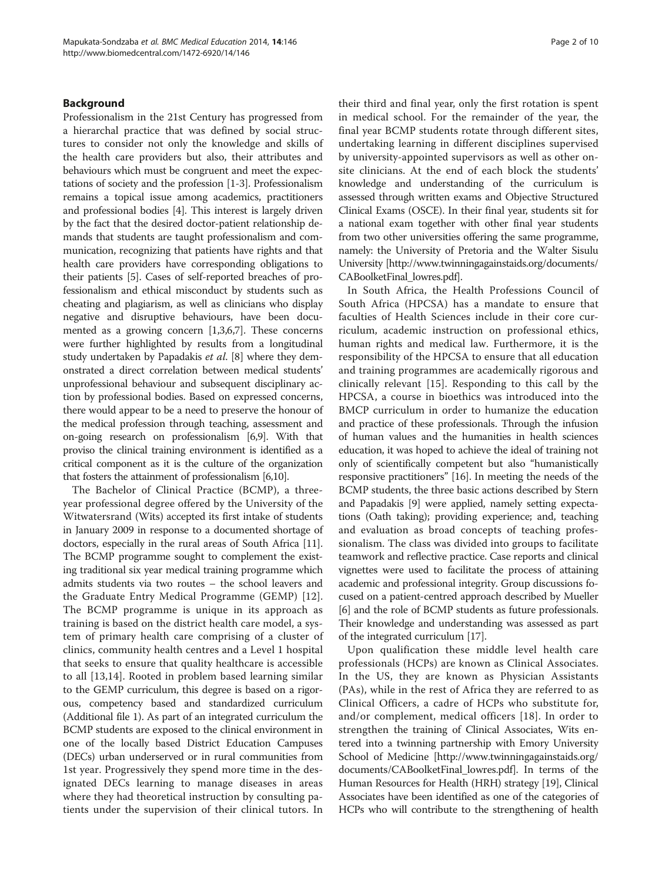### Background

Professionalism in the 21st Century has progressed from a hierarchal practice that was defined by social structures to consider not only the knowledge and skills of the health care providers but also, their attributes and behaviours which must be congruent and meet the expectations of society and the profession [\[1-3](#page-8-0)]. Professionalism remains a topical issue among academics, practitioners and professional bodies [\[4](#page-8-0)]. This interest is largely driven by the fact that the desired doctor-patient relationship demands that students are taught professionalism and communication, recognizing that patients have rights and that health care providers have corresponding obligations to their patients [\[5](#page-8-0)]. Cases of self-reported breaches of professionalism and ethical misconduct by students such as cheating and plagiarism, as well as clinicians who display negative and disruptive behaviours, have been documented as a growing concern [[1](#page-8-0),[3,6,7\]](#page-8-0). These concerns were further highlighted by results from a longitudinal study undertaken by Papadakis et al. [\[8](#page-8-0)] where they demonstrated a direct correlation between medical students' unprofessional behaviour and subsequent disciplinary action by professional bodies. Based on expressed concerns, there would appear to be a need to preserve the honour of the medical profession through teaching, assessment and on-going research on professionalism [\[6,9](#page-8-0)]. With that proviso the clinical training environment is identified as a critical component as it is the culture of the organization that fosters the attainment of professionalism [\[6,10](#page-8-0)].

The Bachelor of Clinical Practice (BCMP), a threeyear professional degree offered by the University of the Witwatersrand (Wits) accepted its first intake of students in January 2009 in response to a documented shortage of doctors, especially in the rural areas of South Africa [[11](#page-8-0)]. The BCMP programme sought to complement the existing traditional six year medical training programme which admits students via two routes – the school leavers and the Graduate Entry Medical Programme (GEMP) [\[12](#page-8-0)]. The BCMP programme is unique in its approach as training is based on the district health care model, a system of primary health care comprising of a cluster of clinics, community health centres and a Level 1 hospital that seeks to ensure that quality healthcare is accessible to all [[13,14](#page-8-0)]. Rooted in problem based learning similar to the GEMP curriculum, this degree is based on a rigorous, competency based and standardized curriculum (Additional file [1](#page-8-0)). As part of an integrated curriculum the BCMP students are exposed to the clinical environment in one of the locally based District Education Campuses (DECs) urban underserved or in rural communities from 1st year. Progressively they spend more time in the designated DECs learning to manage diseases in areas where they had theoretical instruction by consulting patients under the supervision of their clinical tutors. In their third and final year, only the first rotation is spent in medical school. For the remainder of the year, the final year BCMP students rotate through different sites, undertaking learning in different disciplines supervised by university-appointed supervisors as well as other onsite clinicians. At the end of each block the students' knowledge and understanding of the curriculum is assessed through written exams and Objective Structured Clinical Exams (OSCE). In their final year, students sit for a national exam together with other final year students from two other universities offering the same programme, namely: the University of Pretoria and the Walter Sisulu University [\[http://www.twinningagainstaids.org/documents/](http://www.twinningagainstaids.org/documents/CABoolketFinal_lowres.pdf) [CABoolketFinal\\_lowres.pdf](http://www.twinningagainstaids.org/documents/CABoolketFinal_lowres.pdf)].

In South Africa, the Health Professions Council of South Africa (HPCSA) has a mandate to ensure that faculties of Health Sciences include in their core curriculum, academic instruction on professional ethics, human rights and medical law. Furthermore, it is the responsibility of the HPCSA to ensure that all education and training programmes are academically rigorous and clinically relevant [[15](#page-8-0)]. Responding to this call by the HPCSA, a course in bioethics was introduced into the BMCP curriculum in order to humanize the education and practice of these professionals. Through the infusion of human values and the humanities in health sciences education, it was hoped to achieve the ideal of training not only of scientifically competent but also "humanistically responsive practitioners" [\[16](#page-8-0)]. In meeting the needs of the BCMP students, the three basic actions described by Stern and Papadakis [[9](#page-8-0)] were applied, namely setting expectations (Oath taking); providing experience; and, teaching and evaluation as broad concepts of teaching professionalism. The class was divided into groups to facilitate teamwork and reflective practice. Case reports and clinical vignettes were used to facilitate the process of attaining academic and professional integrity. Group discussions focused on a patient-centred approach described by Mueller [[6\]](#page-8-0) and the role of BCMP students as future professionals. Their knowledge and understanding was assessed as part of the integrated curriculum [\[17\]](#page-8-0).

Upon qualification these middle level health care professionals (HCPs) are known as Clinical Associates. In the US, they are known as Physician Assistants (PAs), while in the rest of Africa they are referred to as Clinical Officers, a cadre of HCPs who substitute for, and/or complement, medical officers [[18](#page-8-0)]. In order to strengthen the training of Clinical Associates, Wits entered into a twinning partnership with Emory University School of Medicine [\[http://www.twinningagainstaids.org/](http://www.twinningagainstaids.org/documents/CABoolketFinal_lowres.pdf) [documents/CABoolketFinal\\_lowres.pdf](http://www.twinningagainstaids.org/documents/CABoolketFinal_lowres.pdf)]. In terms of the Human Resources for Health (HRH) strategy [[19](#page-8-0)], Clinical Associates have been identified as one of the categories of HCPs who will contribute to the strengthening of health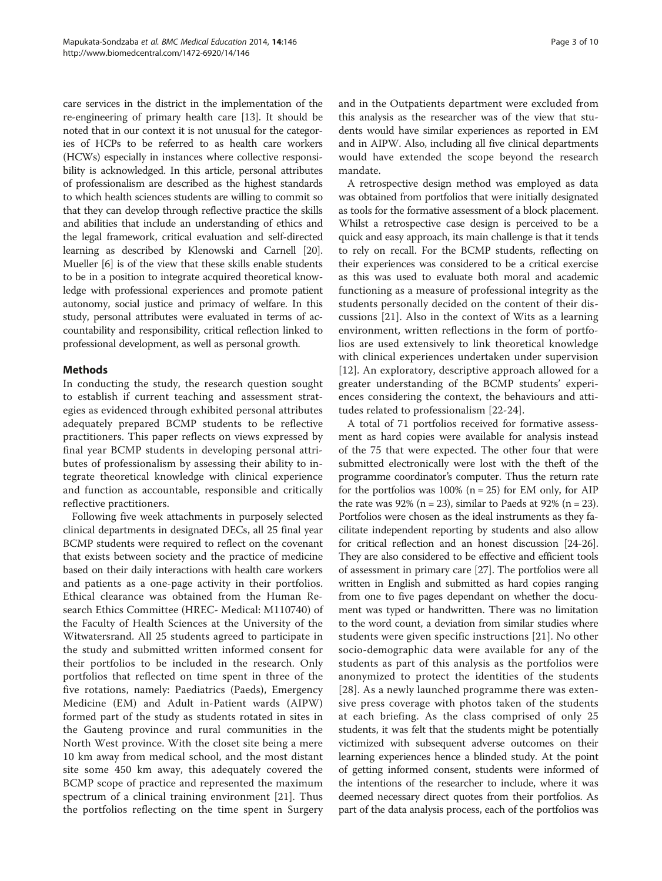care services in the district in the implementation of the re-engineering of primary health care [\[13\]](#page-8-0). It should be noted that in our context it is not unusual for the categories of HCPs to be referred to as health care workers (HCWs) especially in instances where collective responsibility is acknowledged. In this article, personal attributes of professionalism are described as the highest standards to which health sciences students are willing to commit so that they can develop through reflective practice the skills and abilities that include an understanding of ethics and the legal framework, critical evaluation and self-directed learning as described by Klenowski and Carnell [[20](#page-8-0)]. Mueller [\[6](#page-8-0)] is of the view that these skills enable students to be in a position to integrate acquired theoretical knowledge with professional experiences and promote patient autonomy, social justice and primacy of welfare. In this study, personal attributes were evaluated in terms of accountability and responsibility, critical reflection linked to professional development, as well as personal growth.

# Methods

In conducting the study, the research question sought to establish if current teaching and assessment strategies as evidenced through exhibited personal attributes adequately prepared BCMP students to be reflective practitioners. This paper reflects on views expressed by final year BCMP students in developing personal attributes of professionalism by assessing their ability to integrate theoretical knowledge with clinical experience and function as accountable, responsible and critically reflective practitioners.

Following five week attachments in purposely selected clinical departments in designated DECs, all 25 final year BCMP students were required to reflect on the covenant that exists between society and the practice of medicine based on their daily interactions with health care workers and patients as a one-page activity in their portfolios. Ethical clearance was obtained from the Human Research Ethics Committee (HREC- Medical: M110740) of the Faculty of Health Sciences at the University of the Witwatersrand. All 25 students agreed to participate in the study and submitted written informed consent for their portfolios to be included in the research. Only portfolios that reflected on time spent in three of the five rotations, namely: Paediatrics (Paeds), Emergency Medicine (EM) and Adult in-Patient wards (AIPW) formed part of the study as students rotated in sites in the Gauteng province and rural communities in the North West province. With the closet site being a mere 10 km away from medical school, and the most distant site some 450 km away, this adequately covered the BCMP scope of practice and represented the maximum spectrum of a clinical training environment [[21](#page-8-0)]. Thus the portfolios reflecting on the time spent in Surgery

and in the Outpatients department were excluded from this analysis as the researcher was of the view that students would have similar experiences as reported in EM and in AIPW. Also, including all five clinical departments would have extended the scope beyond the research mandate.

A retrospective design method was employed as data was obtained from portfolios that were initially designated as tools for the formative assessment of a block placement. Whilst a retrospective case design is perceived to be a quick and easy approach, its main challenge is that it tends to rely on recall. For the BCMP students, reflecting on their experiences was considered to be a critical exercise as this was used to evaluate both moral and academic functioning as a measure of professional integrity as the students personally decided on the content of their discussions [\[21](#page-8-0)]. Also in the context of Wits as a learning environment, written reflections in the form of portfolios are used extensively to link theoretical knowledge with clinical experiences undertaken under supervision [[12](#page-8-0)]. An exploratory, descriptive approach allowed for a greater understanding of the BCMP students' experiences considering the context, the behaviours and attitudes related to professionalism [[22-](#page-8-0)[24\]](#page-9-0).

A total of 71 portfolios received for formative assessment as hard copies were available for analysis instead of the 75 that were expected. The other four that were submitted electronically were lost with the theft of the programme coordinator's computer. Thus the return rate for the portfolios was  $100\%$  (n = 25) for EM only, for AIP the rate was 92% ( $n = 23$ ), similar to Paeds at 92% ( $n = 23$ ). Portfolios were chosen as the ideal instruments as they facilitate independent reporting by students and also allow for critical reflection and an honest discussion [[24](#page-9-0)-[26](#page-9-0)]. They are also considered to be effective and efficient tools of assessment in primary care [\[27\]](#page-9-0). The portfolios were all written in English and submitted as hard copies ranging from one to five pages dependant on whether the document was typed or handwritten. There was no limitation to the word count, a deviation from similar studies where students were given specific instructions [[21](#page-8-0)]. No other socio-demographic data were available for any of the students as part of this analysis as the portfolios were anonymized to protect the identities of the students [[28](#page-9-0)]. As a newly launched programme there was extensive press coverage with photos taken of the students at each briefing. As the class comprised of only 25 students, it was felt that the students might be potentially victimized with subsequent adverse outcomes on their learning experiences hence a blinded study. At the point of getting informed consent, students were informed of the intentions of the researcher to include, where it was deemed necessary direct quotes from their portfolios. As part of the data analysis process, each of the portfolios was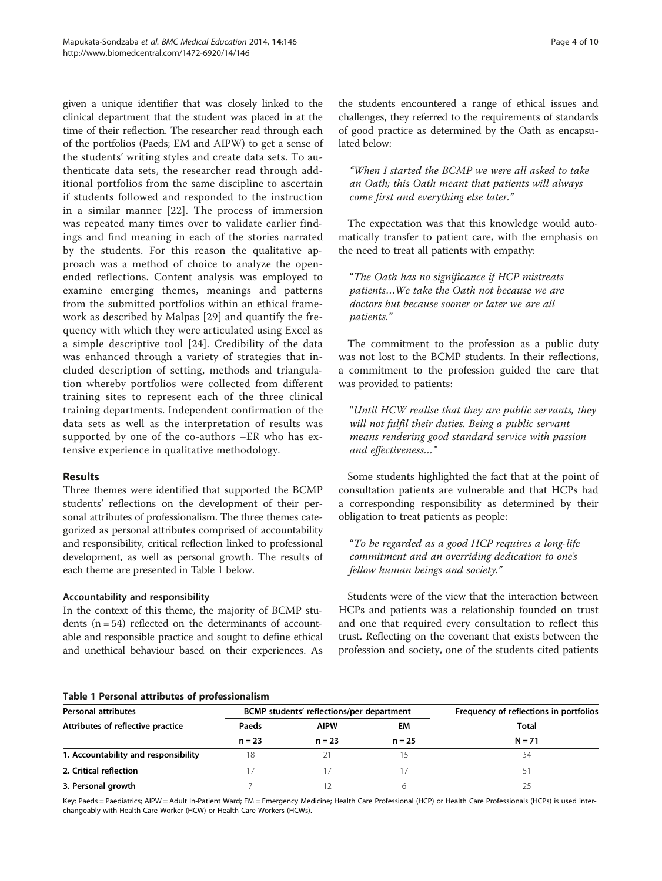given a unique identifier that was closely linked to the clinical department that the student was placed in at the time of their reflection. The researcher read through each of the portfolios (Paeds; EM and AIPW) to get a sense of the students' writing styles and create data sets. To authenticate data sets, the researcher read through additional portfolios from the same discipline to ascertain if students followed and responded to the instruction in a similar manner [[22\]](#page-8-0). The process of immersion was repeated many times over to validate earlier findings and find meaning in each of the stories narrated by the students. For this reason the qualitative approach was a method of choice to analyze the openended reflections. Content analysis was employed to examine emerging themes, meanings and patterns from the submitted portfolios within an ethical framework as described by Malpas [[29](#page-9-0)] and quantify the frequency with which they were articulated using Excel as a simple descriptive tool [[24\]](#page-9-0). Credibility of the data was enhanced through a variety of strategies that included description of setting, methods and triangulation whereby portfolios were collected from different training sites to represent each of the three clinical training departments. Independent confirmation of the data sets as well as the interpretation of results was supported by one of the co-authors –ER who has extensive experience in qualitative methodology.

# Results

Three themes were identified that supported the BCMP students' reflections on the development of their personal attributes of professionalism. The three themes categorized as personal attributes comprised of accountability and responsibility, critical reflection linked to professional development, as well as personal growth. The results of each theme are presented in Table 1 below.

# Accountability and responsibility

In the context of this theme, the majority of BCMP students  $(n = 54)$  reflected on the determinants of accountable and responsible practice and sought to define ethical and unethical behaviour based on their experiences. As

the students encountered a range of ethical issues and challenges, they referred to the requirements of standards of good practice as determined by the Oath as encapsulated below:

"When I started the BCMP we were all asked to take an Oath; this Oath meant that patients will always come first and everything else later."

The expectation was that this knowledge would automatically transfer to patient care, with the emphasis on the need to treat all patients with empathy:

"The Oath has no significance if HCP mistreats patients…We take the Oath not because we are doctors but because sooner or later we are all patients."

The commitment to the profession as a public duty was not lost to the BCMP students. In their reflections, a commitment to the profession guided the care that was provided to patients:

"Until HCW realise that they are public servants, they will not fulfil their duties. Being a public servant means rendering good standard service with passion and effectiveness…"

Some students highlighted the fact that at the point of consultation patients are vulnerable and that HCPs had a corresponding responsibility as determined by their obligation to treat patients as people:

"To be regarded as a good HCP requires a long-life commitment and an overriding dedication to one's fellow human beings and society."

Students were of the view that the interaction between HCPs and patients was a relationship founded on trust and one that required every consultation to reflect this trust. Reflecting on the covenant that exists between the profession and society, one of the students cited patients

#### Table 1 Personal attributes of professionalism

| <b>Personal attributes</b><br>Attributes of reflective practice | BCMP students' reflections/per department |                         |                | Frequency of reflections in portfolios |
|-----------------------------------------------------------------|-------------------------------------------|-------------------------|----------------|----------------------------------------|
|                                                                 | Paeds<br>$n = 23$                         | <b>AIPW</b><br>$n = 23$ | EM<br>$n = 25$ | <b>Total</b><br>$N = 71$               |
|                                                                 |                                           |                         |                |                                        |
| 2. Critical reflection                                          |                                           |                         |                | 51                                     |
| 3. Personal growth                                              |                                           |                         |                |                                        |

Key: Paeds = Paediatrics; AIPW = Adult In-Patient Ward; EM = Emergency Medicine; Health Care Professional (HCP) or Health Care Professionals (HCPs) is used interchangeably with Health Care Worker (HCW) or Health Care Workers (HCWs).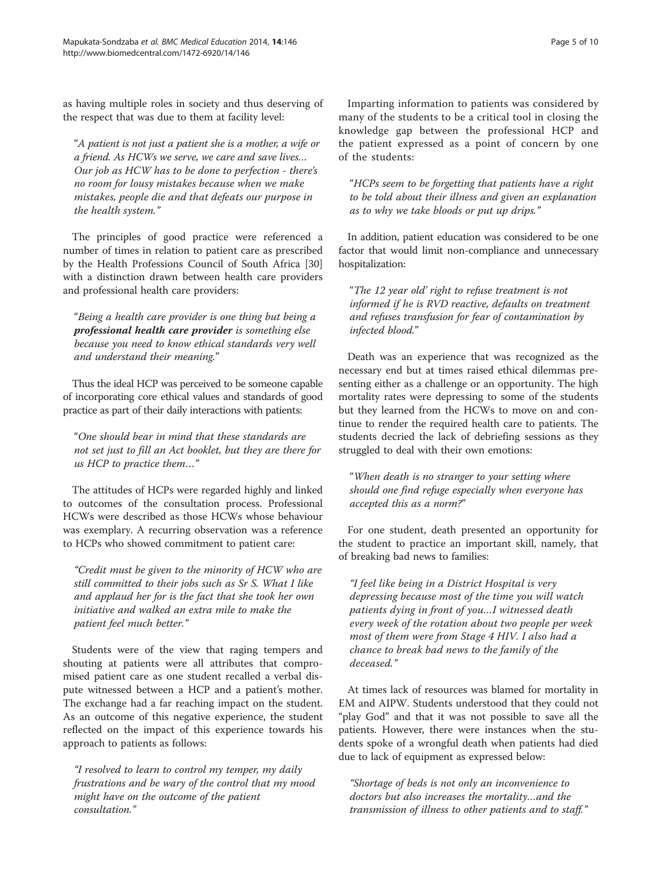as having multiple roles in society and thus deserving of the respect that was due to them at facility level:

"A patient is not just a patient she is a mother, a wife or a friend. As HCWs we serve, we care and save lives… Our job as HCW has to be done to perfection - there's no room for lousy mistakes because when we make mistakes, people die and that defeats our purpose in the health system."

The principles of good practice were referenced a number of times in relation to patient care as prescribed by the Health Professions Council of South Africa [[30](#page-9-0)] with a distinction drawn between health care providers and professional health care providers:

"Being a health care provider is one thing but being a professional health care provider is something else because you need to know ethical standards very well and understand their meaning."

Thus the ideal HCP was perceived to be someone capable of incorporating core ethical values and standards of good practice as part of their daily interactions with patients:

"One should bear in mind that these standards are not set just to fill an Act booklet, but they are there for us HCP to practice them…"

The attitudes of HCPs were regarded highly and linked to outcomes of the consultation process. Professional HCWs were described as those HCWs whose behaviour was exemplary. A recurring observation was a reference to HCPs who showed commitment to patient care:

"Credit must be given to the minority of HCW who are still committed to their jobs such as Sr S. What I like and applaud her for is the fact that she took her own initiative and walked an extra mile to make the patient feel much better."

Students were of the view that raging tempers and shouting at patients were all attributes that compromised patient care as one student recalled a verbal dispute witnessed between a HCP and a patient's mother. The exchange had a far reaching impact on the student. As an outcome of this negative experience, the student reflected on the impact of this experience towards his approach to patients as follows:

"I resolved to learn to control my temper, my daily frustrations and be wary of the control that my mood might have on the outcome of the patient consultation."

Imparting information to patients was considered by many of the students to be a critical tool in closing the knowledge gap between the professional HCP and the patient expressed as a point of concern by one of the students:

"HCPs seem to be forgetting that patients have a right to be told about their illness and given an explanation as to why we take bloods or put up drips."

In addition, patient education was considered to be one factor that would limit non-compliance and unnecessary hospitalization:

"The 12 year old' right to refuse treatment is not informed if he is RVD reactive, defaults on treatment and refuses transfusion for fear of contamination by infected blood."

Death was an experience that was recognized as the necessary end but at times raised ethical dilemmas presenting either as a challenge or an opportunity. The high mortality rates were depressing to some of the students but they learned from the HCWs to move on and continue to render the required health care to patients. The students decried the lack of debriefing sessions as they struggled to deal with their own emotions:

"When death is no stranger to your setting where should one find refuge especially when everyone has accepted this as a norm?"

For one student, death presented an opportunity for the student to practice an important skill, namely, that of breaking bad news to families:

"I feel like being in a District Hospital is very depressing because most of the time you will watch patients dying in front of you…I witnessed death every week of the rotation about two people per week most of them were from Stage 4 HIV. I also had a chance to break bad news to the family of the deceased."

At times lack of resources was blamed for mortality in EM and AIPW. Students understood that they could not "play God" and that it was not possible to save all the patients. However, there were instances when the students spoke of a wrongful death when patients had died due to lack of equipment as expressed below:

"Shortage of beds is not only an inconvenience to doctors but also increases the mortality…and the transmission of illness to other patients and to staff."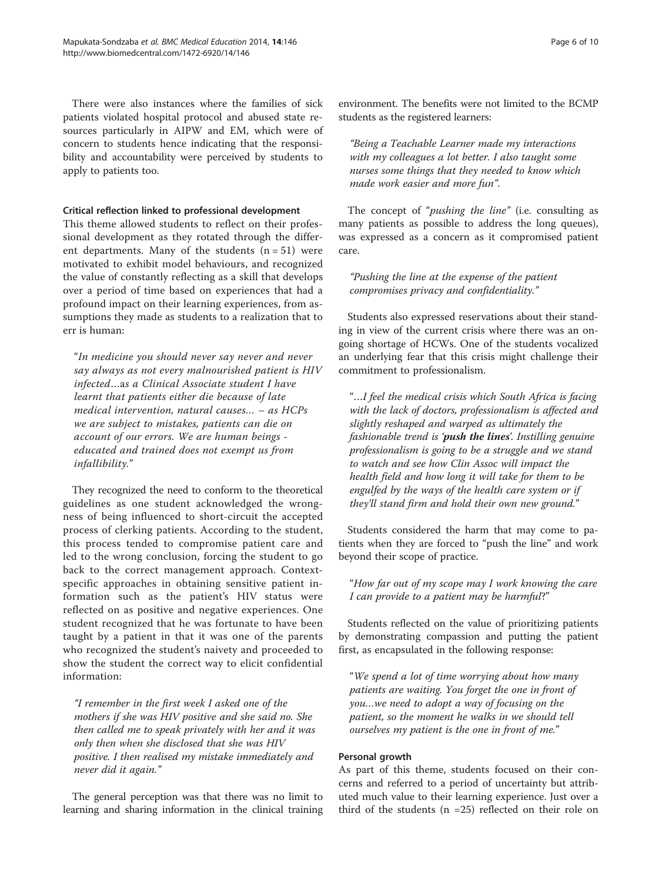There were also instances where the families of sick patients violated hospital protocol and abused state resources particularly in AIPW and EM, which were of concern to students hence indicating that the responsibility and accountability were perceived by students to apply to patients too.

#### Critical reflection linked to professional development

This theme allowed students to reflect on their professional development as they rotated through the different departments. Many of the students  $(n = 51)$  were motivated to exhibit model behaviours, and recognized the value of constantly reflecting as a skill that develops over a period of time based on experiences that had a profound impact on their learning experiences, from assumptions they made as students to a realization that to err is human:

"In medicine you should never say never and never say always as not every malnourished patient is HIV infected…as a Clinical Associate student I have learnt that patients either die because of late medical intervention, natural causes… – as HCPs we are subject to mistakes, patients can die on account of our errors. We are human beings educated and trained does not exempt us from infallibility."

They recognized the need to conform to the theoretical guidelines as one student acknowledged the wrongness of being influenced to short-circuit the accepted process of clerking patients. According to the student, this process tended to compromise patient care and led to the wrong conclusion, forcing the student to go back to the correct management approach. Contextspecific approaches in obtaining sensitive patient information such as the patient's HIV status were reflected on as positive and negative experiences. One student recognized that he was fortunate to have been taught by a patient in that it was one of the parents who recognized the student's naivety and proceeded to show the student the correct way to elicit confidential information:

"I remember in the first week I asked one of the mothers if she was HIV positive and she said no. She then called me to speak privately with her and it was only then when she disclosed that she was HIV positive. I then realised my mistake immediately and never did it again."

The general perception was that there was no limit to learning and sharing information in the clinical training environment. The benefits were not limited to the BCMP students as the registered learners:

"Being a Teachable Learner made my interactions with my colleagues a lot better. I also taught some nurses some things that they needed to know which made work easier and more fun".

The concept of "pushing the line" (i.e. consulting as many patients as possible to address the long queues), was expressed as a concern as it compromised patient care.

"Pushing the line at the expense of the patient compromises privacy and confidentiality."

Students also expressed reservations about their standing in view of the current crisis where there was an ongoing shortage of HCWs. One of the students vocalized an underlying fear that this crisis might challenge their commitment to professionalism.

"…I feel the medical crisis which South Africa is facing with the lack of doctors, professionalism is affected and slightly reshaped and warped as ultimately the fashionable trend is 'push the lines'. Instilling genuine professionalism is going to be a struggle and we stand to watch and see how Clin Assoc will impact the health field and how long it will take for them to be engulfed by the ways of the health care system or if they'll stand firm and hold their own new ground."

Students considered the harm that may come to patients when they are forced to "push the line" and work beyond their scope of practice.

"How far out of my scope may I work knowing the care I can provide to a patient may be harmful?"

Students reflected on the value of prioritizing patients by demonstrating compassion and putting the patient first, as encapsulated in the following response:

"We spend a lot of time worrying about how many patients are waiting. You forget the one in front of you…we need to adopt a way of focusing on the patient, so the moment he walks in we should tell ourselves my patient is the one in front of me."

#### Personal growth

As part of this theme, students focused on their concerns and referred to a period of uncertainty but attributed much value to their learning experience. Just over a third of the students  $(n = 25)$  reflected on their role on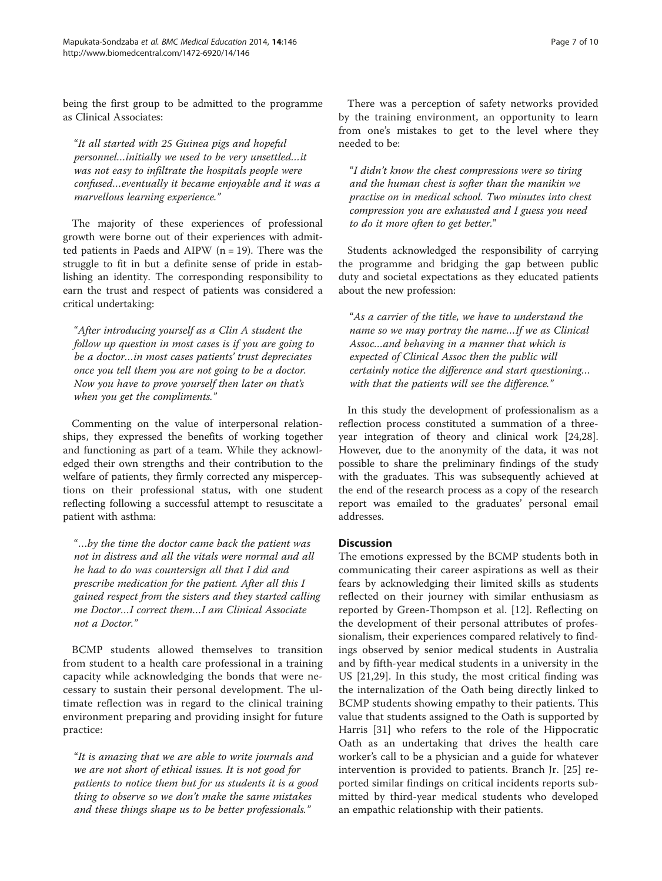being the first group to be admitted to the programme as Clinical Associates:

"It all started with 25 Guinea pigs and hopeful personnel…initially we used to be very unsettled…it was not easy to infiltrate the hospitals people were confused…eventually it became enjoyable and it was a marvellous learning experience."

The majority of these experiences of professional growth were borne out of their experiences with admitted patients in Paeds and AIPW  $(n = 19)$ . There was the struggle to fit in but a definite sense of pride in establishing an identity. The corresponding responsibility to earn the trust and respect of patients was considered a critical undertaking:

"After introducing yourself as a Clin A student the follow up question in most cases is if you are going to be a doctor…in most cases patients' trust depreciates once you tell them you are not going to be a doctor. Now you have to prove yourself then later on that's when you get the compliments."

Commenting on the value of interpersonal relationships, they expressed the benefits of working together and functioning as part of a team. While they acknowledged their own strengths and their contribution to the welfare of patients, they firmly corrected any misperceptions on their professional status, with one student reflecting following a successful attempt to resuscitate a patient with asthma:

"…by the time the doctor came back the patient was not in distress and all the vitals were normal and all he had to do was countersign all that I did and prescribe medication for the patient. After all this I gained respect from the sisters and they started calling me Doctor…I correct them…I am Clinical Associate not a Doctor."

BCMP students allowed themselves to transition from student to a health care professional in a training capacity while acknowledging the bonds that were necessary to sustain their personal development. The ultimate reflection was in regard to the clinical training environment preparing and providing insight for future practice:

"It is amazing that we are able to write journals and we are not short of ethical issues. It is not good for patients to notice them but for us students it is a good thing to observe so we don't make the same mistakes and these things shape us to be better professionals."

There was a perception of safety networks provided by the training environment, an opportunity to learn from one's mistakes to get to the level where they needed to be:

"I didn't know the chest compressions were so tiring and the human chest is softer than the manikin we practise on in medical school. Two minutes into chest compression you are exhausted and I guess you need to do it more often to get better."

Students acknowledged the responsibility of carrying the programme and bridging the gap between public duty and societal expectations as they educated patients about the new profession:

"As a carrier of the title, we have to understand the name so we may portray the name…If we as Clinical Assoc…and behaving in a manner that which is expected of Clinical Assoc then the public will certainly notice the difference and start questioning… with that the patients will see the difference."

In this study the development of professionalism as a reflection process constituted a summation of a threeyear integration of theory and clinical work [\[24,28](#page-9-0)]. However, due to the anonymity of the data, it was not possible to share the preliminary findings of the study with the graduates. This was subsequently achieved at the end of the research process as a copy of the research report was emailed to the graduates' personal email addresses.

# **Discussion**

The emotions expressed by the BCMP students both in communicating their career aspirations as well as their fears by acknowledging their limited skills as students reflected on their journey with similar enthusiasm as reported by Green-Thompson et al. [\[12](#page-8-0)]. Reflecting on the development of their personal attributes of professionalism, their experiences compared relatively to findings observed by senior medical students in Australia and by fifth-year medical students in a university in the US [\[21](#page-8-0)[,29\]](#page-9-0). In this study, the most critical finding was the internalization of the Oath being directly linked to BCMP students showing empathy to their patients. This value that students assigned to the Oath is supported by Harris [[31\]](#page-9-0) who refers to the role of the Hippocratic Oath as an undertaking that drives the health care worker's call to be a physician and a guide for whatever intervention is provided to patients. Branch Jr. [[25\]](#page-9-0) reported similar findings on critical incidents reports submitted by third-year medical students who developed an empathic relationship with their patients.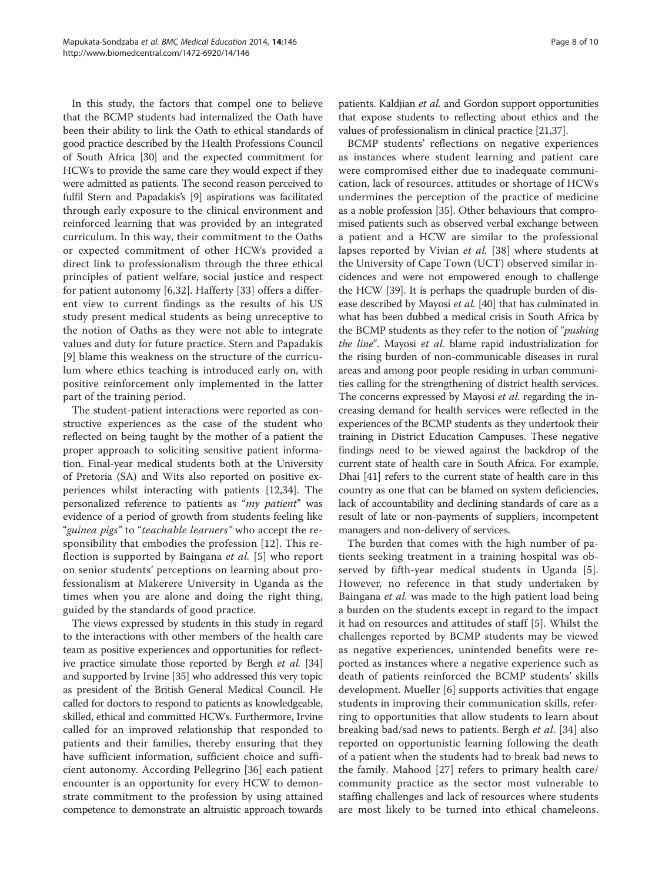In this study, the factors that compel one to believe that the BCMP students had internalized the Oath have been their ability to link the Oath to ethical standards of good practice described by the Health Professions Council of South Africa [\[30\]](#page-9-0) and the expected commitment for HCWs to provide the same care they would expect if they were admitted as patients. The second reason perceived to fulfil Stern and Papadakis's [\[9](#page-8-0)] aspirations was facilitated through early exposure to the clinical environment and reinforced learning that was provided by an integrated curriculum. In this way, their commitment to the Oaths or expected commitment of other HCWs provided a direct link to professionalism through the three ethical principles of patient welfare, social justice and respect for patient autonomy [[6,](#page-8-0)[32\]](#page-9-0). Hafferty [[33](#page-9-0)] offers a different view to current findings as the results of his US study present medical students as being unreceptive to the notion of Oaths as they were not able to integrate values and duty for future practice. Stern and Papadakis [[9\]](#page-8-0) blame this weakness on the structure of the curriculum where ethics teaching is introduced early on, with positive reinforcement only implemented in the latter part of the training period.

The student-patient interactions were reported as constructive experiences as the case of the student who reflected on being taught by the mother of a patient the proper approach to soliciting sensitive patient information. Final-year medical students both at the University of Pretoria (SA) and Wits also reported on positive experiences whilst interacting with patients [\[12](#page-8-0)[,34\]](#page-9-0). The personalized reference to patients as "my patient" was evidence of a period of growth from students feeling like "guinea pigs" to "teachable learners" who accept the responsibility that embodies the profession [[12](#page-8-0)]. This reflection is supported by Baingana et al. [[5\]](#page-8-0) who report on senior students' perceptions on learning about professionalism at Makerere University in Uganda as the times when you are alone and doing the right thing, guided by the standards of good practice.

The views expressed by students in this study in regard to the interactions with other members of the health care team as positive experiences and opportunities for reflect-ive practice simulate those reported by Bergh et al. [[34](#page-9-0)] and supported by Irvine [[35](#page-9-0)] who addressed this very topic as president of the British General Medical Council. He called for doctors to respond to patients as knowledgeable, skilled, ethical and committed HCWs. Furthermore, Irvine called for an improved relationship that responded to patients and their families, thereby ensuring that they have sufficient information, sufficient choice and sufficient autonomy. According Pellegrino [[36\]](#page-9-0) each patient encounter is an opportunity for every HCW to demonstrate commitment to the profession by using attained competence to demonstrate an altruistic approach towards

patients. Kaldjian et al. and Gordon support opportunities that expose students to reflecting about ethics and the values of professionalism in clinical practice [[21,](#page-8-0)[37](#page-9-0)].

BCMP students' reflections on negative experiences as instances where student learning and patient care were compromised either due to inadequate communication, lack of resources, attitudes or shortage of HCWs undermines the perception of the practice of medicine as a noble profession [\[35\]](#page-9-0). Other behaviours that compromised patients such as observed verbal exchange between a patient and a HCW are similar to the professional lapses reported by Vivian et al. [[38\]](#page-9-0) where students at the University of Cape Town (UCT) observed similar incidences and were not empowered enough to challenge the HCW [[39](#page-9-0)]. It is perhaps the quadruple burden of dis-ease described by Mayosi et al. [[40](#page-9-0)] that has culminated in what has been dubbed a medical crisis in South Africa by the BCMP students as they refer to the notion of "pushing the line". Mayosi et al. blame rapid industrialization for the rising burden of non-communicable diseases in rural areas and among poor people residing in urban communities calling for the strengthening of district health services. The concerns expressed by Mayosi et al. regarding the increasing demand for health services were reflected in the experiences of the BCMP students as they undertook their training in District Education Campuses. These negative findings need to be viewed against the backdrop of the current state of health care in South Africa. For example, Dhai [\[41\]](#page-9-0) refers to the current state of health care in this country as one that can be blamed on system deficiencies, lack of accountability and declining standards of care as a result of late or non-payments of suppliers, incompetent managers and non-delivery of services.

The burden that comes with the high number of patients seeking treatment in a training hospital was observed by fifth-year medical students in Uganda [\[5](#page-8-0)]. However, no reference in that study undertaken by Baingana *et al.* was made to the high patient load being a burden on the students except in regard to the impact it had on resources and attitudes of staff [[5\]](#page-8-0). Whilst the challenges reported by BCMP students may be viewed as negative experiences, unintended benefits were reported as instances where a negative experience such as death of patients reinforced the BCMP students' skills development. Mueller [[6](#page-8-0)] supports activities that engage students in improving their communication skills, referring to opportunities that allow students to learn about breaking bad/sad news to patients. Bergh et al. [\[34](#page-9-0)] also reported on opportunistic learning following the death of a patient when the students had to break bad news to the family. Mahood [\[27](#page-9-0)] refers to primary health care/ community practice as the sector most vulnerable to staffing challenges and lack of resources where students are most likely to be turned into ethical chameleons.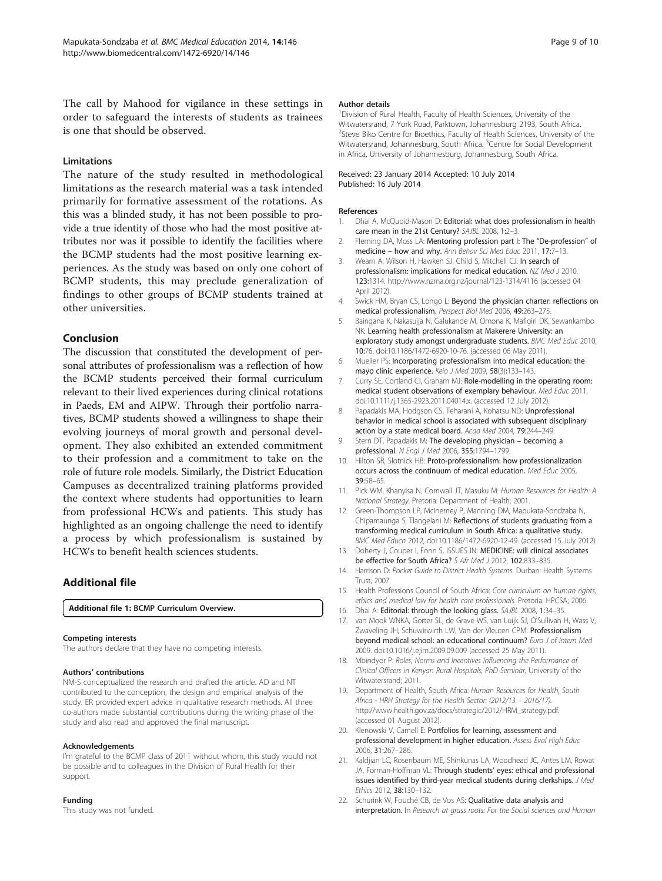<span id="page-8-0"></span>The call by Mahood for vigilance in these settings in order to safeguard the interests of students as trainees is one that should be observed.

#### Limitations

The nature of the study resulted in methodological limitations as the research material was a task intended primarily for formative assessment of the rotations. As this was a blinded study, it has not been possible to provide a true identity of those who had the most positive attributes nor was it possible to identify the facilities where the BCMP students had the most positive learning experiences. As the study was based on only one cohort of BCMP students, this may preclude generalization of findings to other groups of BCMP students trained at other universities.

# Conclusion

The discussion that constituted the development of personal attributes of professionalism was a reflection of how the BCMP students perceived their formal curriculum relevant to their lived experiences during clinical rotations in Paeds, EM and AIPW. Through their portfolio narratives, BCMP students showed a willingness to shape their evolving journeys of moral growth and personal development. They also exhibited an extended commitment to their profession and a commitment to take on the role of future role models. Similarly, the District Education Campuses as decentralized training platforms provided the context where students had opportunities to learn from professional HCWs and patients. This study has highlighted as an ongoing challenge the need to identify a process by which professionalism is sustained by HCWs to benefit health sciences students.

# Additional file

[Additional file 1:](http://www.biomedcentral.com/content/supplementary/1472-6920-14-146-S1.pdf) BCMP Curriculum Overview.

#### Competing interests

The authors declare that they have no competing interests.

#### Authors' contributions

NM-S conceptualized the research and drafted the article. AD and NT contributed to the conception, the design and empirical analysis of the study. ER provided expert advice in qualitative research methods. All three co-authors made substantial contributions during the writing phase of the study and also read and approved the final manuscript.

#### Acknowledgements

I'm grateful to the BCMP class of 2011 without whom, this study would not be possible and to colleagues in the Division of Rural Health for their support.

#### Funding

This study was not funded.

#### Author details

<sup>1</sup> Division of Rural Health, Faculty of Health Sciences, University of the Witwatersrand, 7 York Road, Parktown, Johannesburg 2193, South Africa. <sup>2</sup>Steve Biko Centre for Bioethics, Faculty of Health Sciences, University of the Witwatersrand, Johannesburg, South Africa. <sup>3</sup>Centre for Social Development in Africa, University of Johannesburg, Johannesburg, South Africa.

#### Received: 23 January 2014 Accepted: 10 July 2014 Published: 16 July 2014

#### References

- 1. Dhai A, McQuoid-Mason D: Editorial: what does professionalism in health care mean in the 21st Century? SAJBL 2008, 1:2–3.
- 2. Fleming DA, Moss LA: Mentoring profession part I: The "De-profession" of medicine – how and why. Ann Behav Sci Med Educ 2011, 17:7–13.
- 3. Wearn A, Wilson H, Hawken SJ, Child S, Mitchell CJ: In search of professionalism: implications for medical education. NZ Med J 2010. 123:1314.<http://www.nzma.org.nz/journal/123-1314/4116> (accessed 04 April 2012).
- 4. Swick HM, Bryan CS, Longo L: Beyond the physician charter: reflections on medical professionalism. Perspect Biol Med 2006, 49:263–275.
- 5. Baingana K, Nakasujja N, Galukande M, Omona K, Mafigiri DK, Sewankambo NK: Learning health professionalism at Makerere University: an exploratory study amongst undergraduate students. BMC Med Educ 2010, 10:76. doi:10.1186/1472-6920-10-76. (accessed 06 May 2011).
- 6. Mueller PS: Incorporating professionalism into medical education: the mayo clinic experience. Keio J Med 2009, 58(3):133-143.
- 7. Curry SE, Cortland CI, Graham MJ: Role-modelling in the operating room: medical student observations of exemplary behaviour. Med Educ 2011, doi:10.1111/j.1365-2923.2011.04014.x. (accessed 12 July 2012).
- 8. Papadakis MA, Hodgson CS, Teharani A, Kohatsu ND: Unprofessional behavior in medical school is associated with subsequent disciplinary action by a state medical board. Acad Med 2004, 79:244–249.
- 9. Stern DT, Papadakis M: The developing physician becoming a professional. N Engl J Med 2006, 355:1794–1799.
- 10. Hilton SR, Slotnick HB: Proto-professionalism: how professionalization occurs across the continuum of medical education. Med Educ 2005, 39:58–65.
- 11. Pick WM, Khanyisa N, Cornwall JT, Masuku M: Human Resources for Health: A National Strategy. Pretoria: Department of Health; 2001.
- 12. Green-Thompson LP, McInerney P, Manning DM, Mapukata-Sondzaba N, Chipamaunga S, Tlangelani M: Reflections of students graduating from a transforming medical curriculum in South Africa: a qualitative study. BMC Med Educn 2012, doi:10.1186/1472-6920-12-49. (accessed 15 July 2012).
- 13. Doherty J, Couper I, Fonn S, ISSUES IN: MEDICINE: will clinical associates be effective for South Africa? S Afr Med J 2012, 102:833–835.
- 14. Harrison D: Pocket Guide to District Health Systems. Durban: Health Systems Trust; 2007.
- 15. Health Professions Council of South Africa: Core curriculum on human rights, ethics and medical law for health care professionals. Pretoria: HPCSA; 2006.
- 16. Dhai A: Editorial: through the looking glass. SAJBL 2008, 1:34–35.
- 17. van Mook WNKA, Gorter SL, de Grave WS, van Luijk SJ, O'Sullivan H, Wass V, Zwaveling JH, Schuwirwirth LW, Van der Vleuten CPM: Professionalism beyond medical school: an educational continuum? Euro J of Intern Med 2009. doi:10.1016/j.ejim.2009.09.009 (accessed 25 May 2011).
- 18. Mbindyor P: Roles, Norms and Incentives Influencing the Performance of Clinical Officers in Kenyan Rural Hospitals, PhD Seminar. University of the Witwatersrand; 2011.
- 19. Department of Health, South Africa: Human Resources for Health, South Africa - HRH Strategy for the Health Sector: (2012/13 – 2016/17). [http://www.health.gov.za/docs/strategic/2012/HRM\\_strategy.pdf.](http://www.health.gov.za/docs/strategic/2012/HRM_strategy.pdf) (accessed 01 August 2012).
- 20. Klenowski V, Carnell E: Portfolios for learning, assessment and professional development in higher education. Assess Eval High Educ 2006, 31:267–286.
- 21. Kaldjian LC, Rosenbaum ME, Shinkunas LA, Woodhead JC, Antes LM, Rowat JA, Forman-Hoffman VL: Through students' eyes: ethical and professional issues identified by third-year medical students during clerkships. J Med Ethics 2012, 38:130–132.
- 22. Schurink W, Fouché CB, de Vos AS: Qualitative data analysis and interpretation. In Research at grass roots: For the Social sciences and Human